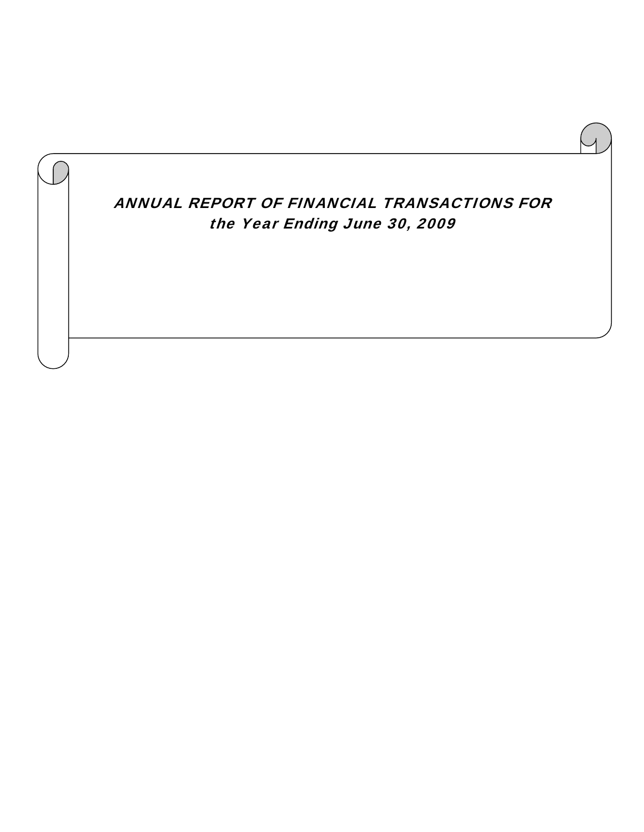ANNUAL REPORT OF FINANCIAL TRANSACTIONS FOR the Year Ending June 30, 2009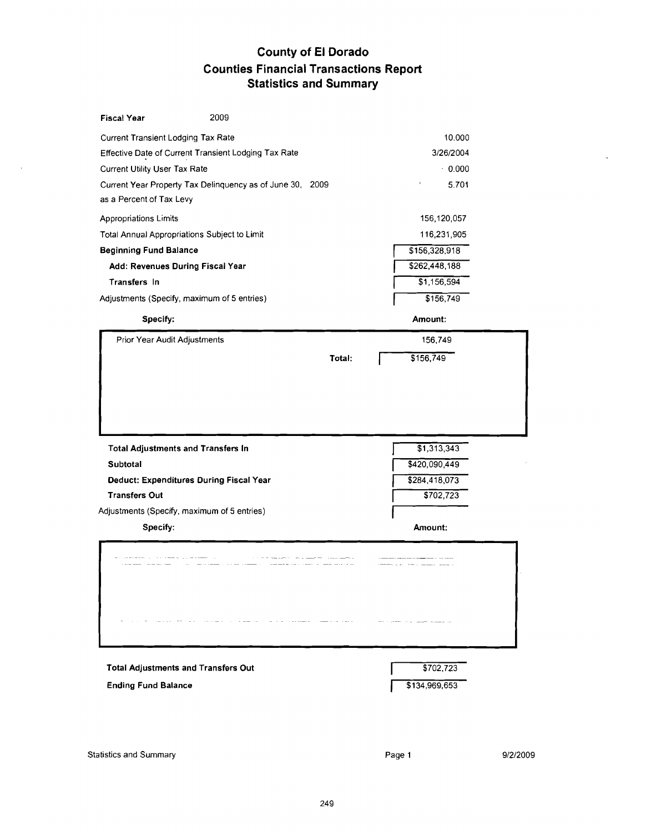# **County of El Dorado Counties Financial Transactions Report Statistics and Summary**

| <b>Fiscal Year</b>                                                                                      | 2009                                                      |        |                                                             |  |
|---------------------------------------------------------------------------------------------------------|-----------------------------------------------------------|--------|-------------------------------------------------------------|--|
| Current Transient Lodging Tax Rate                                                                      |                                                           |        | 10.000                                                      |  |
|                                                                                                         | Effective Date of Current Transient Lodging Tax Rate      |        | 3/26/2004                                                   |  |
| Current Utility User Tax Rate                                                                           |                                                           |        | $-0.000$                                                    |  |
|                                                                                                         | Current Year Property Tax Delinquency as of June 30, 2009 |        | 5.701                                                       |  |
| as a Percent of Tax Levy                                                                                |                                                           |        |                                                             |  |
| Appropriations Limits                                                                                   |                                                           |        | 156,120,057                                                 |  |
| Total Annual Appropriations Subject to Limit                                                            |                                                           |        | 116,231,905                                                 |  |
| <b>Beginning Fund Balance</b>                                                                           |                                                           |        | \$156,328,918                                               |  |
| Add: Revenues During Fiscal Year                                                                        |                                                           |        | \$262,448,188                                               |  |
| Transfers In                                                                                            |                                                           |        | \$1,156,594                                                 |  |
| Adjustments (Specify, maximum of 5 entries)                                                             |                                                           |        | \$156,749                                                   |  |
| Specify:                                                                                                |                                                           |        | Amount:                                                     |  |
| Prior Year Audit Adjustments                                                                            |                                                           |        | 156,749                                                     |  |
|                                                                                                         |                                                           | Total: | \$156,749                                                   |  |
| <b>Total Adjustments and Transfers In</b><br><b>Subtotal</b><br>Deduct: Expenditures During Fiscal Year |                                                           |        | $\overline{31,313,343}$<br>\$420,090,449<br>\$284, 418, 073 |  |
| <b>Transfers Out</b>                                                                                    |                                                           |        | \$702,723                                                   |  |
| Adjustments (Specify, maximum of 5 entries)                                                             |                                                           |        |                                                             |  |
| Specify:                                                                                                |                                                           |        | Amount:                                                     |  |
|                                                                                                         |                                                           |        |                                                             |  |
| <b>Total Adjustments and Transfers Out</b><br><b>Ending Fund Balance</b>                                |                                                           |        | \$702,723<br>\$134,969,653                                  |  |

 $\mathcal{A}$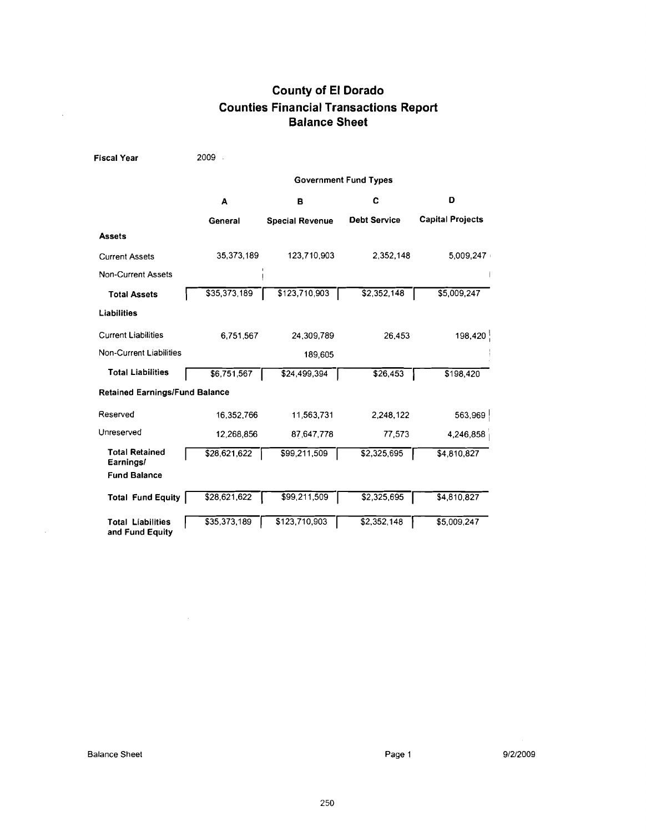# **County of El Dorado Counties Financial Transactions Report Balance Sheet**

| <b>Fiscal Year</b>                          | 2009 -       |                        |                              |                         |
|---------------------------------------------|--------------|------------------------|------------------------------|-------------------------|
|                                             |              |                        | <b>Government Fund Types</b> |                         |
|                                             | A            | в                      | C                            | D                       |
|                                             | General      | <b>Special Revenue</b> | <b>Debt Service</b>          | <b>Capital Projects</b> |
| <b>Assets</b>                               |              |                        |                              |                         |
| <b>Current Assets</b>                       | 35,373,189   | 123,710,903            | 2,352,148                    | 5,009,247               |
| <b>Non-Current Assets</b>                   |              |                        |                              |                         |
| <b>Total Assets</b>                         | \$35,373,189 | \$123,710,903          | \$2,352,148                  | \$5,009,247             |
| Liabilities                                 |              |                        |                              |                         |
| <b>Current Liabilities</b>                  | 6.751.567    | 24,309,789             | 26,453                       | 198,420                 |
| Non-Current Liabilities                     |              | 189,605                |                              |                         |
| <b>Total Liabilities</b>                    | \$6,751,567  | \$24,499,394           | \$26,453                     | \$198,420               |
| <b>Retained Earnings/Fund Balance</b>       |              |                        |                              |                         |
| Reserved                                    | 16,352,766   | 11.563,731             | 2,248,122                    | 563,969                 |
| Unreserved                                  | 12,268,856   | 87 647,778             | 77,573                       | 4,246,858               |
| <b>Total Retained</b><br>Earnings/          | \$28,621,622 | \$99,211,509           | \$2,325,695                  | \$4,810,827             |
| <b>Fund Balance</b>                         |              |                        |                              |                         |
| <b>Total Fund Equity</b>                    | \$28,621,622 | \$99,211,509           | \$2,325,695                  | \$4,810,827             |
| <b>Total Liabilities</b><br>and Fund Equity | \$35,373,189 | \$123,710,903          | \$2,352,148                  | \$5,009,247             |

 $\sim 10$ 

 $\frac{1}{2}$ 

 $\mathcal{A}^{\mathcal{A}}$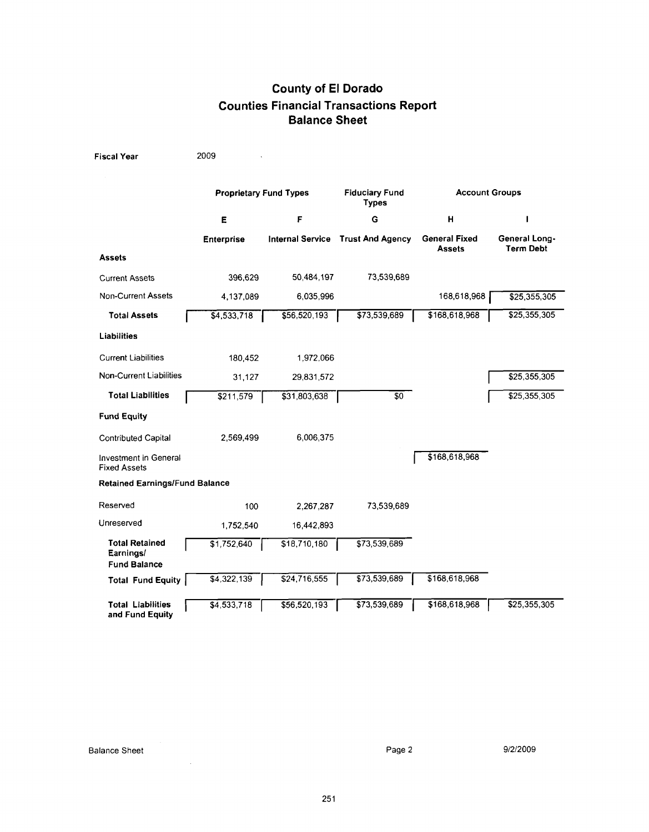# **County of El Dorado Counties Financial Transactions Report Balance Sheet**

| <b>Fiscal Year</b>                                        | 2009                          |                         |                                       |                                       |                                   |
|-----------------------------------------------------------|-------------------------------|-------------------------|---------------------------------------|---------------------------------------|-----------------------------------|
|                                                           | <b>Proprietary Fund Types</b> |                         | <b>Fiduciary Fund</b><br><b>Types</b> | <b>Account Groups</b>                 |                                   |
|                                                           | Е                             | F                       | G                                     | н                                     | L                                 |
|                                                           | <b>Enterprise</b>             | <b>Internal Service</b> | <b>Trust And Agency</b>               | <b>General Fixed</b><br><b>Assets</b> | General Long-<br><b>Term Debt</b> |
| <b>Assets</b>                                             |                               |                         |                                       |                                       |                                   |
| <b>Current Assets</b>                                     | 396,629                       | 50,484,197              | 73,539,689                            |                                       |                                   |
| <b>Non-Current Assets</b>                                 | 4,137,089                     | 6.035.996               |                                       | 168,618,968                           | \$25,355,305                      |
| <b>Total Assets</b>                                       | \$4,533,718                   | \$56,520,193            | \$73,539,689                          | \$168,618,968                         | \$25,355,305                      |
| <b>Liabilities</b>                                        |                               |                         |                                       |                                       |                                   |
| <b>Current Liabilities</b>                                | 180.452                       | 1,972,066               |                                       |                                       |                                   |
| Non-Current Liabilities                                   | 31,127                        | 29,831,572              |                                       |                                       | \$25,355,305                      |
| <b>Total Liabilities</b>                                  | \$211,579                     | \$31,803,638            | \$0                                   |                                       | \$25,355,305                      |
| <b>Fund Equity</b>                                        |                               |                         |                                       |                                       |                                   |
| <b>Contributed Capital</b>                                | 2,569,499                     | 6,006,375               |                                       |                                       |                                   |
| <b>Investment in General</b><br><b>Fixed Assets</b>       |                               |                         |                                       | \$168,618,968                         |                                   |
| <b>Retained Earnings/Fund Balance</b>                     |                               |                         |                                       |                                       |                                   |
| Reserved                                                  | 100                           | 2,267,287               | 73,539,689                            |                                       |                                   |
| Unreserved                                                | 1,752,540                     | 16,442,893              |                                       |                                       |                                   |
| <b>Total Retained</b><br>Earnings/<br><b>Fund Balance</b> | \$1,752,640                   | \$18,710,180            | \$73,539,689                          |                                       |                                   |
| <b>Total Fund Equity</b>                                  | $\overline{4,322,139}$        | \$24,716,555            | \$73,539,689                          | \$168,618,968                         |                                   |
| <b>Total Liabilities</b><br>and Fund Equity               | \$4,533,718                   | \$56,520,193            | \$73,539,689                          | \$168,618,968                         | \$25,355,305                      |

 $\sim$   $\sim$ 

9/2/2009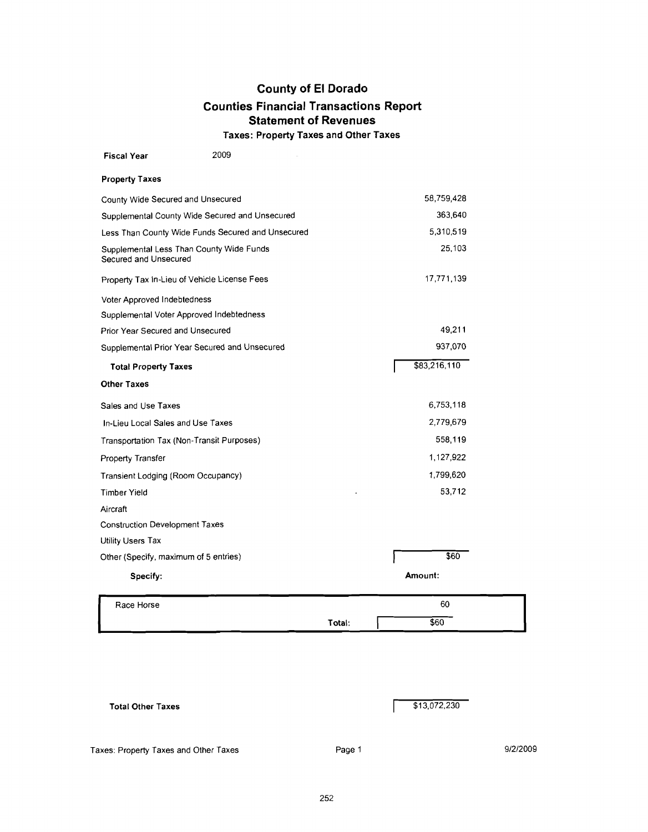**Taxes: Property Taxes and Other Taxes** 

| <b>Fiscal Year</b>                        | 2009                                              |        |              |        |
|-------------------------------------------|---------------------------------------------------|--------|--------------|--------|
| <b>Property Taxes</b>                     |                                                   |        |              |        |
| County Wide Secured and Unsecured         |                                                   |        | 58,759,428   |        |
|                                           | Supplemental County Wide Secured and Unsecured    |        | 363,640      |        |
|                                           | Less Than County Wide Funds Secured and Unsecured |        | 5,310,519    |        |
| Secured and Unsecured                     | Supplemental Less Than County Wide Funds          |        |              | 25,103 |
|                                           | Property Tax In-Lieu of Vehicle License Fees      |        | 17,771,139   |        |
| Voter Approved Indebtedness               |                                                   |        |              |        |
| Supplemental Voter Approved Indebtedness  |                                                   |        |              |        |
| Prior Year Secured and Unsecured          |                                                   |        |              | 49,211 |
|                                           | Supplemental Prior Year Secured and Unsecured     |        | 937,070      |        |
| <b>Total Property Taxes</b>               |                                                   |        | \$83,216,110 |        |
| <b>Other Taxes</b>                        |                                                   |        |              |        |
| Sales and Use Taxes                       |                                                   |        | 6,753,118    |        |
| In-Lieu Local Sales and Use Taxes         |                                                   |        | 2,779,679    |        |
| Transportation Tax (Non-Transit Purposes) |                                                   |        | 558,119      |        |
| Property Transfer                         |                                                   |        | 1,127,922    |        |
| Transient Lodging (Room Occupancy)        |                                                   |        | 1,799,620    |        |
| Timber Yield                              |                                                   |        |              | 53,712 |
| Aircraft                                  |                                                   |        |              |        |
| Construction Development Taxes            |                                                   |        |              |        |
| Utility Users Tax                         |                                                   |        |              |        |
| Other (Specify, maximum of 5 entries)     |                                                   |        |              | \$60   |
| Specify:                                  |                                                   |        | Amount:      |        |
| Race Horse                                |                                                   |        | 60           |        |
|                                           |                                                   | Total: | \$60         |        |

|  | <b>Total Other Taxes</b> |  |
|--|--------------------------|--|
|  |                          |  |

|  | \$13,072,230 |
|--|--------------|
|--|--------------|

Г

Taxes: Property Taxes and Other Taxes

Page 1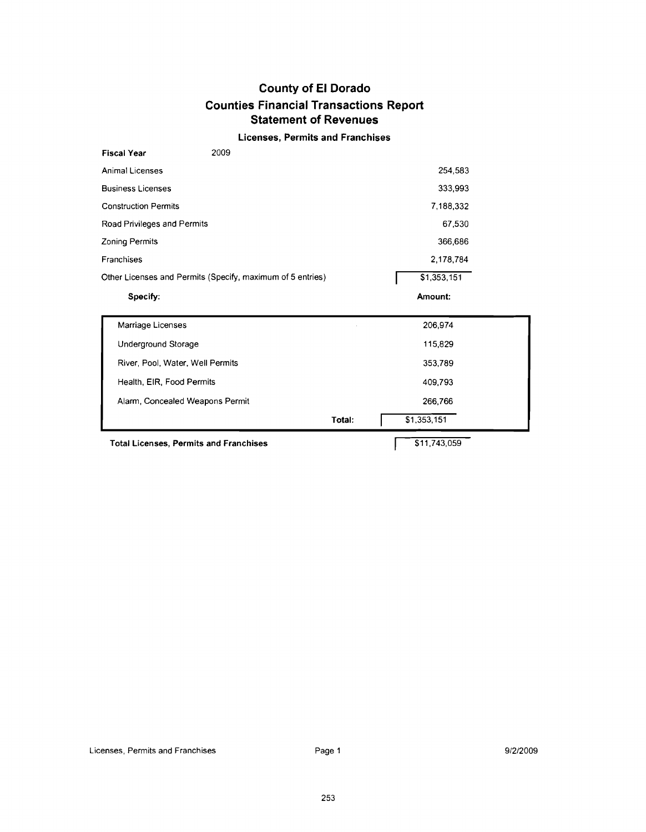#### **Licenses, Permits and Franchises**

| Other Licenses and Permits (Specify, maximum of 5 entries) | \$1,353,151 |
|------------------------------------------------------------|-------------|
| Franchises                                                 | 2,178,784   |
| <b>Zoning Permits</b>                                      | 366,686     |
| Road Privileges and Permits                                | 67,530      |
| <b>Construction Permits</b>                                | 7,188,332   |
| <b>Business Licenses</b>                                   | 333,993     |
| <b>Animal Licenses</b>                                     | 254.583     |
| 2009<br><b>Fiscal Year</b>                                 |             |

|                                  | Total: | \$1,353,151 |  |
|----------------------------------|--------|-------------|--|
| Alarm, Concealed Weapons Permit  |        | 266,766     |  |
| Health, EIR, Food Permits        |        | 409.793     |  |
| River, Pool, Water, Well Permits |        | 353,789     |  |
| Underground Storage              |        | 115,829     |  |
| Marriage Licenses                |        | 206.974     |  |
|                                  |        |             |  |

**Total Licenses, Permits and Franchises** 

\$11,743,059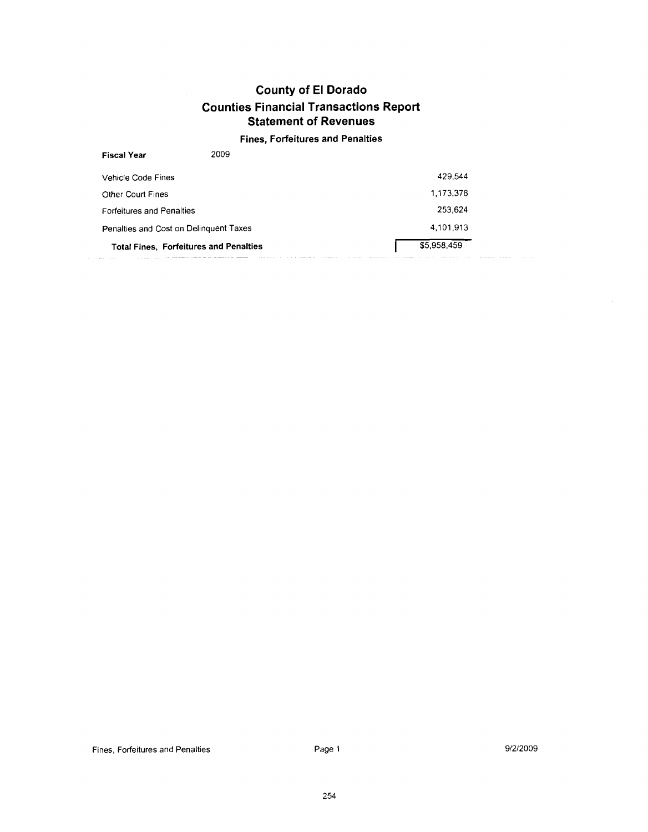$\hat{\boldsymbol{\alpha}}$ 

#### **Fines, Forfeitures and Penalties**

| <b>Fiscal Year</b>                                 | 2009 |                            |  |
|----------------------------------------------------|------|----------------------------|--|
| Vehicle Code Fines                                 |      | 429.544                    |  |
| Other Court Fines                                  |      | 1,173,378<br>$\sim$        |  |
| <b>Forfeitures and Penalties</b>                   |      | 253.624                    |  |
| Penalties and Cost on Delinguent Taxes             |      | 4.101.913                  |  |
| <b>Total Fines, Forfeitures and Penalties</b><br>. |      | \$5,958,459<br>----------- |  |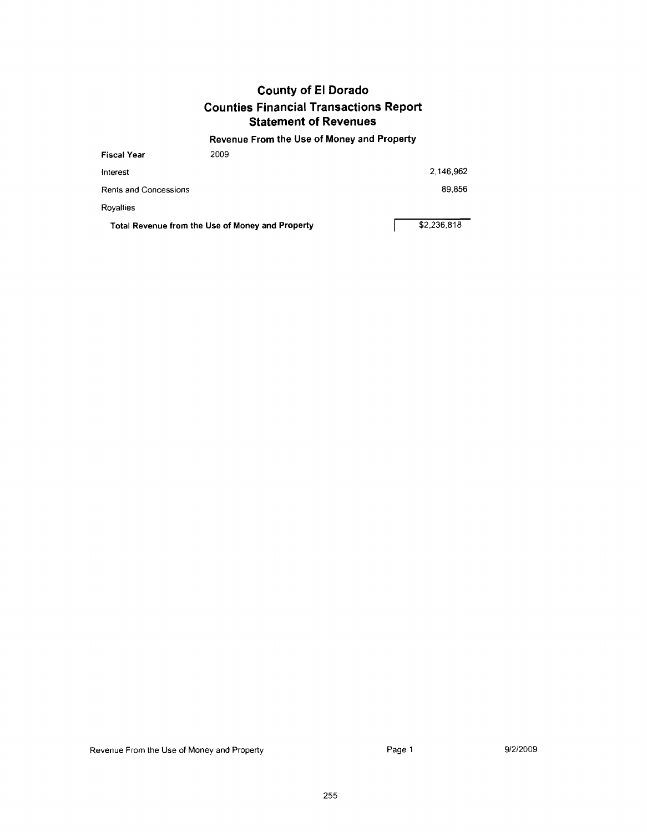#### **Revenue From the Use of Money and Property**

| <b>Fiscal Year</b>           | 2009                                             |             |
|------------------------------|--------------------------------------------------|-------------|
| Interest                     |                                                  | 2.146,962   |
| <b>Rents and Concessions</b> |                                                  | 89,856      |
| Rovalties                    |                                                  |             |
|                              | Total Revenue from the Use of Money and Property | \$2,236,818 |

Revenue From the Use of Money and Property **Page 1** Page 1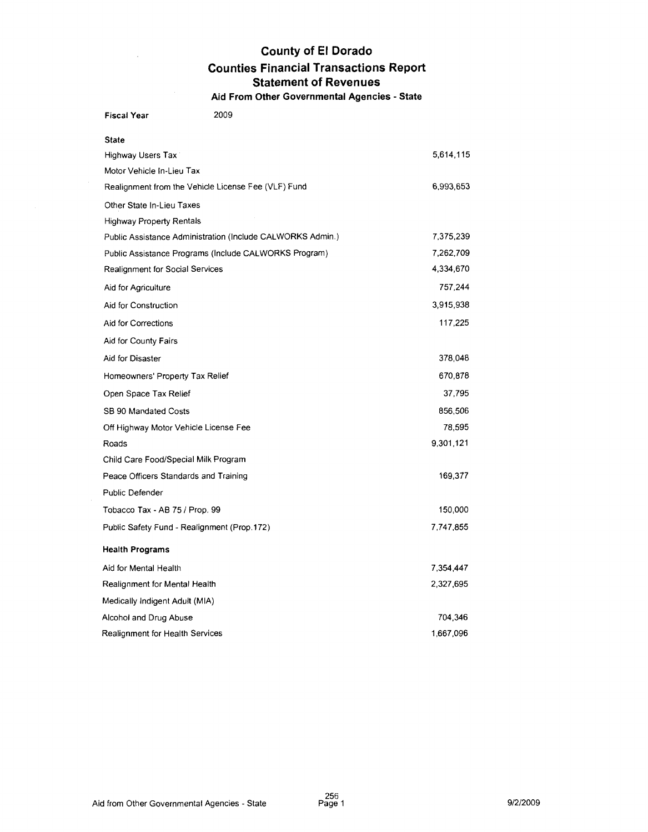### **County of El Dorado Counties Financial Transactions Report Statement of Revenues Aid From Other Governmental Agencies** - **State**

Fiscal Year 2009 State 5,614,115 Highway Users Tax Motor Vehicle In-Lieu Tax Realignment from the Vehicle License Fee (VLF) Fund 6,993,653 Other State In-Lieu Taxes Highway Property Rentals Public Assistance Administration (Include CALWORKS Admin.) 7,375,239 Public Assistance Programs (Include CALWORKS Program) 7,262,709 Realignment for Social Services 4,334,670 757,244 Aid for Agriculture 3,915,938 Aid for Construction Aid for Corrections 117,225 Aid for County Fairs Aid for Disaster 378,048 670,878 Homeowners' Property Tax Relief 37,795 Open Space Tax Relief SB 90 Mandated Costs 856,506 Off Highway Motor Vehicle License Fee 78,595 9,301,121 Roads Child Care Food/Special Milk Program Peace Officers Standards and Training 169,377 Public Defender Tobacco Tax - AB 75 / Prop. 99 150,000 Public Safety Fund - Realignment (Prop.172) 7,747,855 Health Programs Aid for Mental Health 7,354,447 Realignment for Mental Health 2,327,695 Medically Indigent Adult (MIA) Alcohol and Drug Abuse 704,346 Realignment for Health Services 1,667,096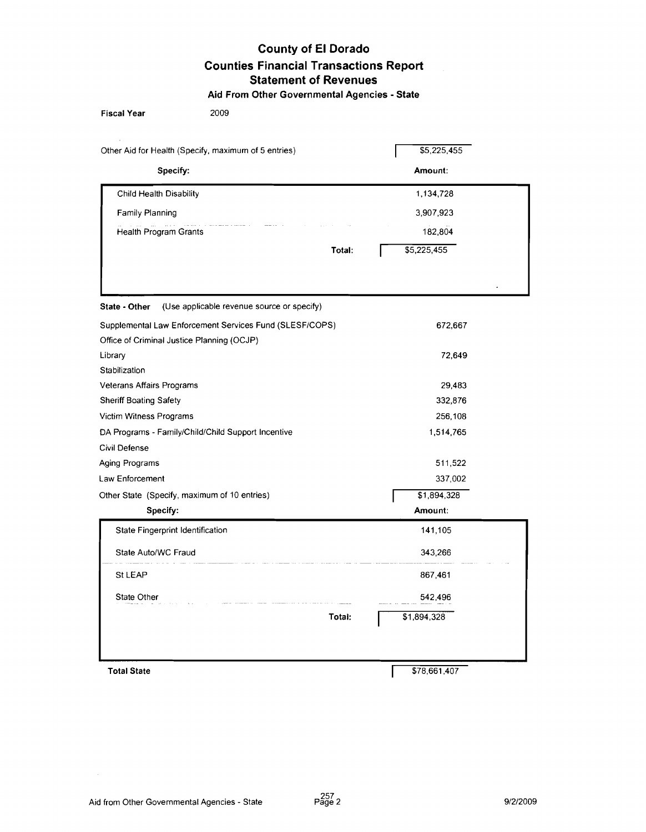### **County of El Dorado Counties Financial Transactions Report Statement of Revenues Aid From Other Governmental Agencies** - **State**

| <b>Fiscal Year</b><br>2009                                  |              |  |
|-------------------------------------------------------------|--------------|--|
| Other Aid for Health (Specify, maximum of 5 entries)        | \$5,225,455  |  |
| Specify:                                                    | Amount:      |  |
| Child Health Disability                                     | 1,134,728    |  |
| Family Planning                                             | 3,907,923    |  |
| and an and an and a<br>Health Program Grants                | 182,804      |  |
| Total:                                                      | \$5,225,455  |  |
|                                                             |              |  |
|                                                             |              |  |
| (Use applicable revenue source or specify)<br>State - Other |              |  |
| Supplemental Law Enforcement Services Fund (SLESF/COPS)     | 672,667      |  |
| Office of Criminal Justice Planning (OCJP)                  |              |  |
| Library                                                     | 72,649       |  |
| Stabilization                                               |              |  |
| Veterans Affairs Programs                                   | 29,483       |  |
| Sheriff Boating Safety                                      | 332,876      |  |
| Victim Witness Programs                                     | 256,108      |  |
| DA Programs - Family/Child/Child Support Incentive          | 1,514,765    |  |
| Civil Defense                                               |              |  |
| Aging Programs                                              | 511,522      |  |
| Law Enforcement                                             | 337,002      |  |
| Other State (Specify, maximum of 10 entries)                | \$1,894,328  |  |
| Specify:                                                    | Amount:      |  |
| State Fingerprint Identification                            | 141,105      |  |
| State Auto/WC Fraud                                         | 343,266      |  |
| St LEAP                                                     | 867,461      |  |
| State Other                                                 | 542,496      |  |
| Total:                                                      | \$1,894,328  |  |
|                                                             |              |  |
|                                                             |              |  |
| <b>Total State</b>                                          | \$78,661,407 |  |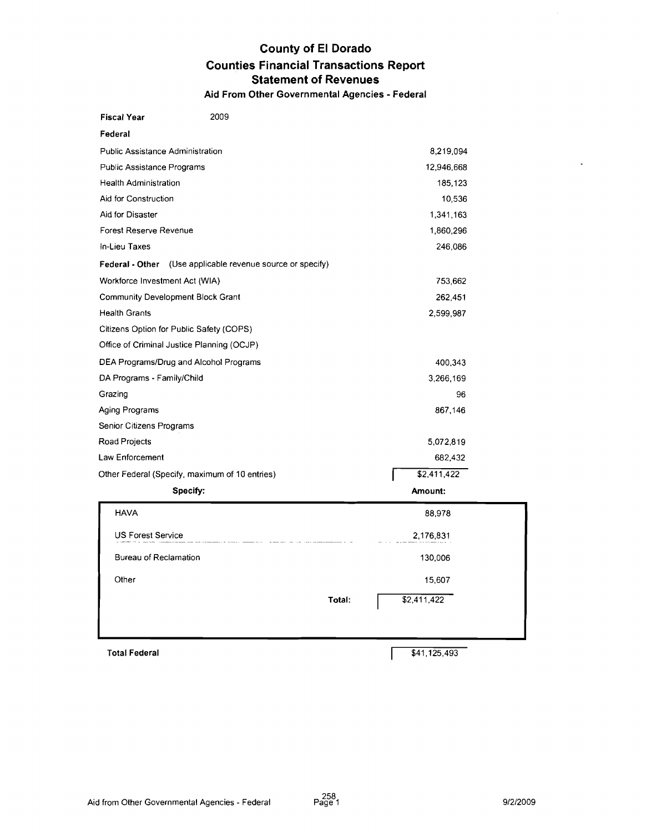### **County of El Dorado Counties Financial Transactions Report Statement of Revenues Aid From Other Governmental Agencies** - **Federal**

| <b>Fiscal Year</b>                             | 2009                                                              |                       |
|------------------------------------------------|-------------------------------------------------------------------|-----------------------|
| Federal                                        |                                                                   |                       |
| Public Assistance Administration               |                                                                   | 8,219,094             |
| <b>Public Assistance Programs</b>              |                                                                   | 12,946,668            |
| <b>Health Administration</b>                   |                                                                   | 185,123               |
| Aid for Construction                           |                                                                   | 10,536                |
| Aid for Disaster                               |                                                                   | 1,341,163             |
| Forest Reserve Revenue                         |                                                                   | 1,860,296             |
| In-Lieu Taxes                                  |                                                                   | 246,086               |
|                                                | <b>Federal - Other</b> (Use applicable revenue source or specify) |                       |
| Workforce Investment Act (WIA)                 |                                                                   | 753,662               |
| Community Development Block Grant              |                                                                   | 262,451               |
| <b>Health Grants</b>                           |                                                                   | 2,599,987             |
| Citizens Option for Public Safety (COPS)       |                                                                   |                       |
| Office of Criminal Justice Planning (OCJP)     |                                                                   |                       |
| DEA Programs/Drug and Alcohol Programs         |                                                                   | 400,343               |
| DA Programs - Family/Child                     |                                                                   | 3,266,169             |
| Grazing                                        |                                                                   | 96                    |
| Aging Programs                                 |                                                                   | 867,146               |
| Senior Citizens Programs                       |                                                                   |                       |
| Road Projects                                  |                                                                   | 5,072,819             |
| Law Enforcement                                |                                                                   | 682,432               |
| Other Federal (Specify, maximum of 10 entries) |                                                                   | \$2,411,422           |
| Specify:                                       |                                                                   | Amount:               |
| <b>HAVA</b>                                    |                                                                   | 88,978                |
| <b>US Forest Service</b>                       |                                                                   | 2,176,831             |
| Bureau of Reclamation                          |                                                                   | 130,006               |
|                                                |                                                                   |                       |
| Other                                          |                                                                   | 15,607                |
|                                                |                                                                   | \$2,411,422<br>Total: |
|                                                |                                                                   |                       |
|                                                |                                                                   |                       |

Total Federal  $$41,125,493$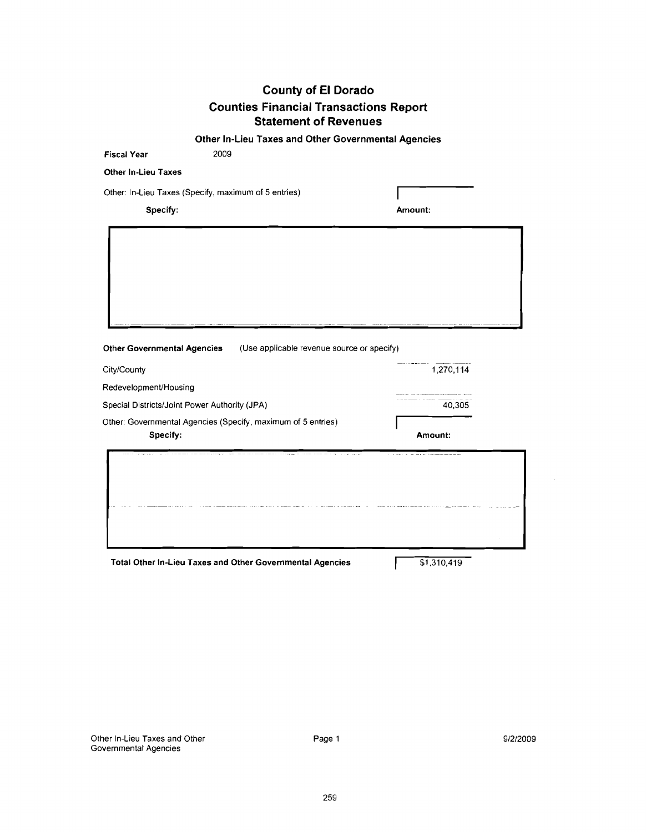**Other In-Lieu Taxes and Other Governmental Agencies** 

| Amount:                                    |                     |
|--------------------------------------------|---------------------|
|                                            |                     |
| (Use applicable revenue source or specify) |                     |
|                                            |                     |
|                                            |                     |
|                                            |                     |
|                                            |                     |
| Amount:                                    |                     |
|                                            | 1,270,114<br>40,305 |

Total Other In-Lieu Taxes and Other Governmental Agencies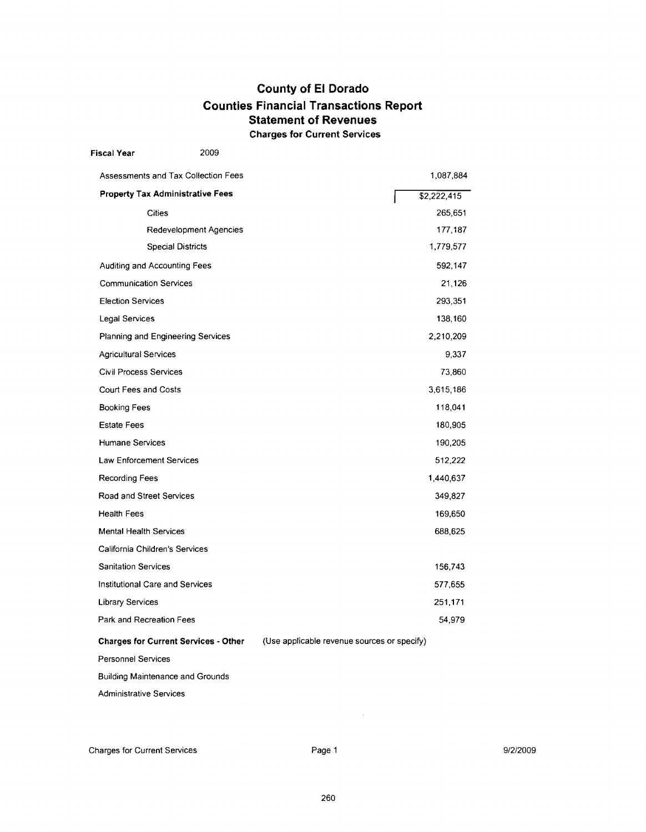### **County of El Dorado Counties Financial Transactions Report Statement of Revenues Charges for Current Services**

| Fiscal Year                     | 2009                                        |                                             |             |
|---------------------------------|---------------------------------------------|---------------------------------------------|-------------|
|                                 | Assessments and Tax Collection Fees         |                                             | 1,087,884   |
|                                 | <b>Property Tax Administrative Fees</b>     |                                             | \$2,222,415 |
|                                 | Cities                                      |                                             | 265,651     |
|                                 | Redevelopment Agencies                      |                                             | 177,187     |
|                                 | <b>Special Districts</b>                    |                                             | 1,779,577   |
| Auditing and Accounting Fees    |                                             |                                             | 592,147     |
| <b>Communication Services</b>   |                                             |                                             | 21,126      |
| <b>Election Services</b>        |                                             |                                             | 293,351     |
| Legal Services                  |                                             |                                             | 138,160     |
|                                 | Planning and Engineering Services           |                                             | 2,210,209   |
| <b>Agricultural Services</b>    |                                             |                                             | 9.337       |
| <b>Civil Process Services</b>   |                                             |                                             | 73,860      |
| Court Fees and Costs            |                                             |                                             | 3,615,186   |
| <b>Booking Fees</b>             |                                             |                                             | 118,041     |
| <b>Estate Fees</b>              |                                             |                                             | 180,905     |
| Humane Services                 |                                             |                                             | 190,205     |
| Law Enforcement Services        |                                             |                                             | 512,222     |
| <b>Recording Fees</b>           |                                             |                                             | 1,440,637   |
| Road and Street Services        |                                             |                                             | 349,827     |
| Health Fees                     |                                             |                                             | 169,650     |
| <b>Mental Health Services</b>   |                                             |                                             | 688,625     |
| California Children's Services  |                                             |                                             |             |
| Sanitation Services             |                                             |                                             | 156,743     |
| Institutional Care and Services |                                             |                                             | 577,655     |
| Library Services                |                                             |                                             | 251,171     |
| Park and Recreation Fees        |                                             |                                             | 54,979      |
|                                 | <b>Charges for Current Services - Other</b> | (Use applicable revenue sources or specify) |             |
| <b>Personnel Services</b>       |                                             |                                             |             |
|                                 | Building Maintenance and Grounds            |                                             |             |
| Administrative Services         |                                             |                                             |             |

 $\bar{z}$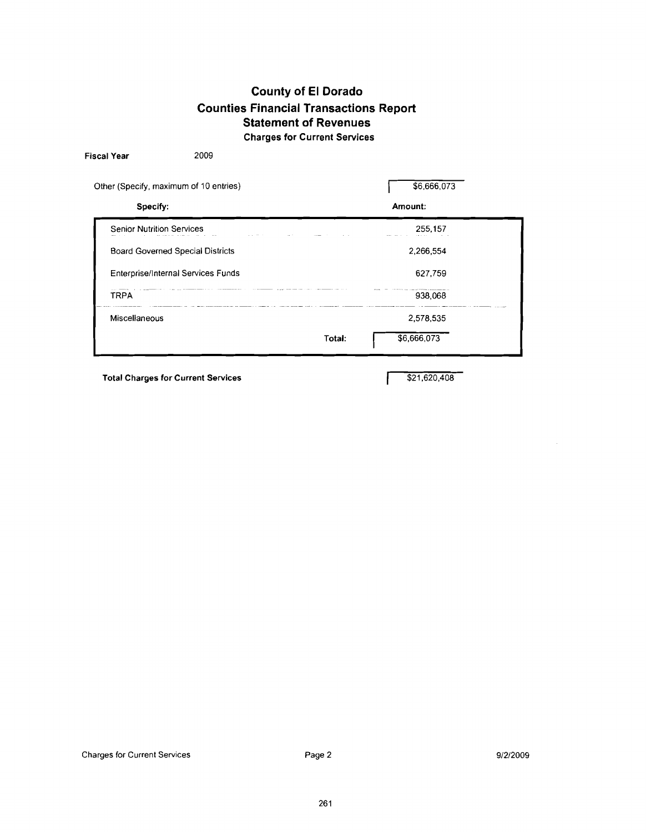### **County of El Dorado Counties Financial Transactions Report Statement of Revenues Charges for Current Services**

| Other (Specify, maximum of 10 entries)  | \$6,666,073           |  |
|-----------------------------------------|-----------------------|--|
| Specify:                                | Amount:               |  |
| <b>Senior Nutrition Services</b>        | 255,157               |  |
| <b>Board Governed Special Districts</b> | 2,266,554             |  |
| Enterprise/Internal Services Funds      | 627,759               |  |
| <b>TRPA</b>                             | 938,068               |  |
| Miscellaneous                           | 2,578,535             |  |
|                                         | \$6,666,073<br>Total: |  |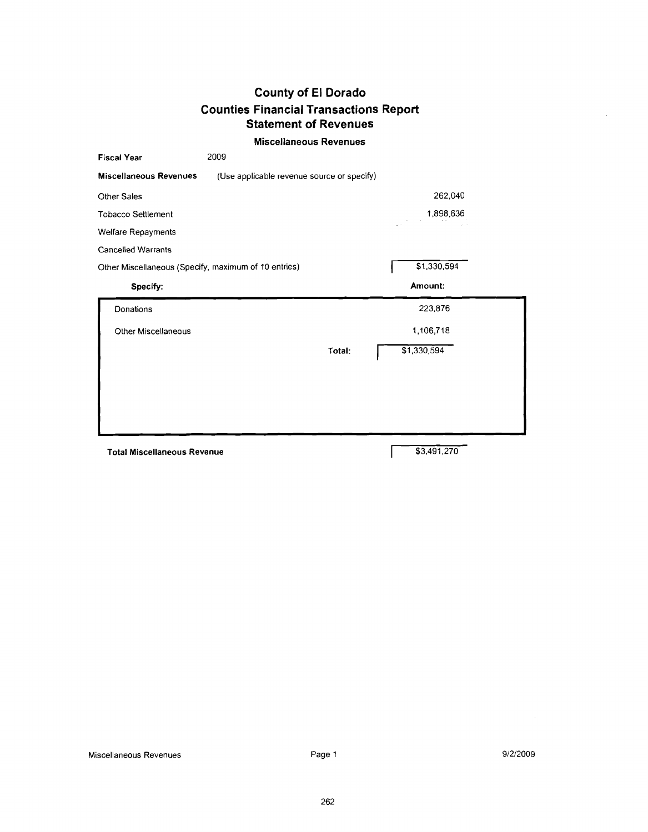#### **Miscellaneous Revenues**

| <b>Fiscal Year</b>                                   | 2009                                       |        |             |  |
|------------------------------------------------------|--------------------------------------------|--------|-------------|--|
| <b>Miscellaneous Revenues</b>                        | (Use applicable revenue source or specify) |        |             |  |
| Other Sales                                          |                                            |        | 262,040     |  |
| <b>Tobacco Settlement</b>                            |                                            |        | 1,898,636   |  |
| Welfare Repayments                                   |                                            |        |             |  |
| <b>Cancelled Warrants</b>                            |                                            |        |             |  |
| Other Miscellaneous (Specify, maximum of 10 entries) |                                            |        | \$1,330,594 |  |
| Specify:                                             |                                            |        | Amount:     |  |
| Donations                                            |                                            |        | 223,876     |  |
| Other Miscellaneous                                  |                                            |        | 1.106,718   |  |
|                                                      |                                            | Total: | \$1,330,594 |  |
|                                                      |                                            |        |             |  |
|                                                      |                                            |        |             |  |
|                                                      |                                            |        |             |  |
|                                                      |                                            |        |             |  |
|                                                      |                                            |        |             |  |
| <b>Total Miscellaneous Revenue</b>                   |                                            |        | \$3,491,270 |  |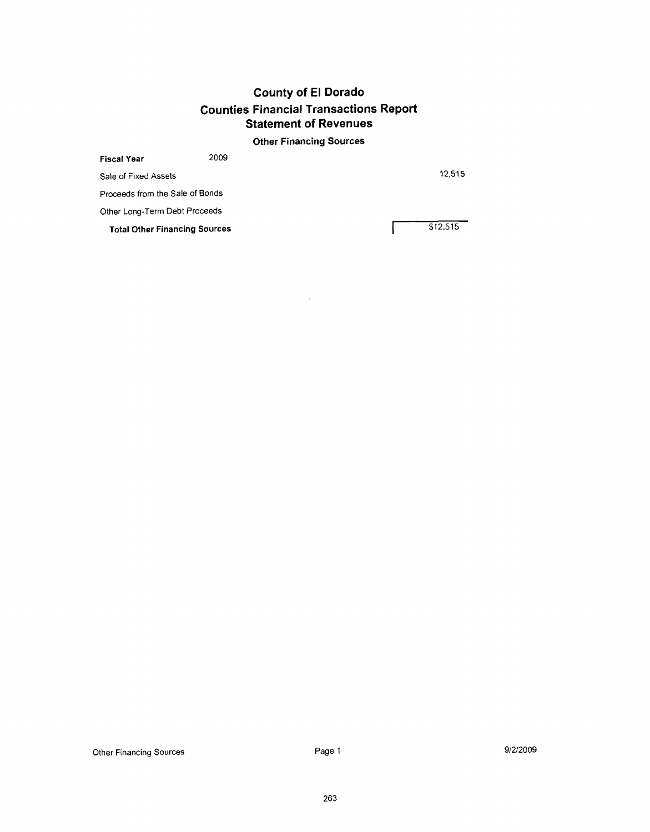### **Other Financing Sources**

 $\sim$ 

| <b>Fiscal Year</b>                   | 2009 |          |
|--------------------------------------|------|----------|
| Sale of Fixed Assets                 |      | 12.515   |
| Proceeds from the Sale of Bonds      |      |          |
| Other Long-Term Debt Proceeds        |      |          |
| <b>Total Other Financing Sources</b> |      | \$12,515 |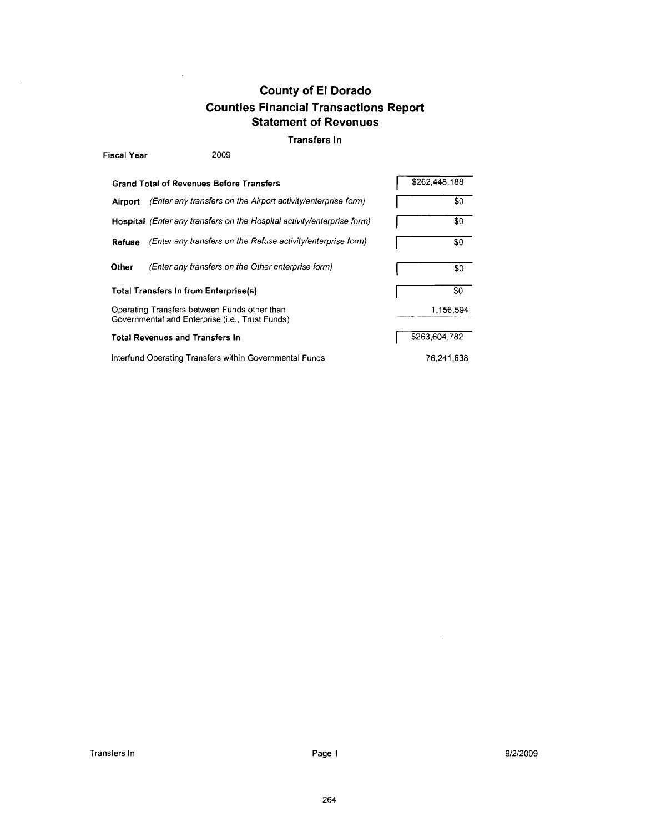#### **Transfers In**

| <b>Fiscal Year</b> | 2009                                                                                            |               |
|--------------------|-------------------------------------------------------------------------------------------------|---------------|
|                    | <b>Grand Total of Revenues Before Transfers</b>                                                 | \$262.448.188 |
| Airport            | (Enter any transfers on the Airport activity/enterprise form)                                   | \$0           |
|                    | Hospital (Enter any transfers on the Hospital activity/enterprise form)                         | \$0           |
| Refuse             | (Enter any transfers on the Refuse activity/enterprise form)                                    | \$0           |
| Other              | (Enter any transfers on the Other enterprise form)                                              | \$0           |
|                    | Total Transfers In from Enterprise(s)                                                           | \$0           |
|                    | Operating Transfers between Funds other than<br>Governmental and Enterprise (i.e., Trust Funds) | 1,156,594     |
|                    | <b>Total Revenues and Transfers In</b>                                                          | \$263,604,782 |
|                    | Interfund Operating Transfers within Governmental Funds                                         | 76.241.638    |

 $\mathcal{A}^{\mathcal{A}}$ 

 $\hat{\boldsymbol{\theta}}$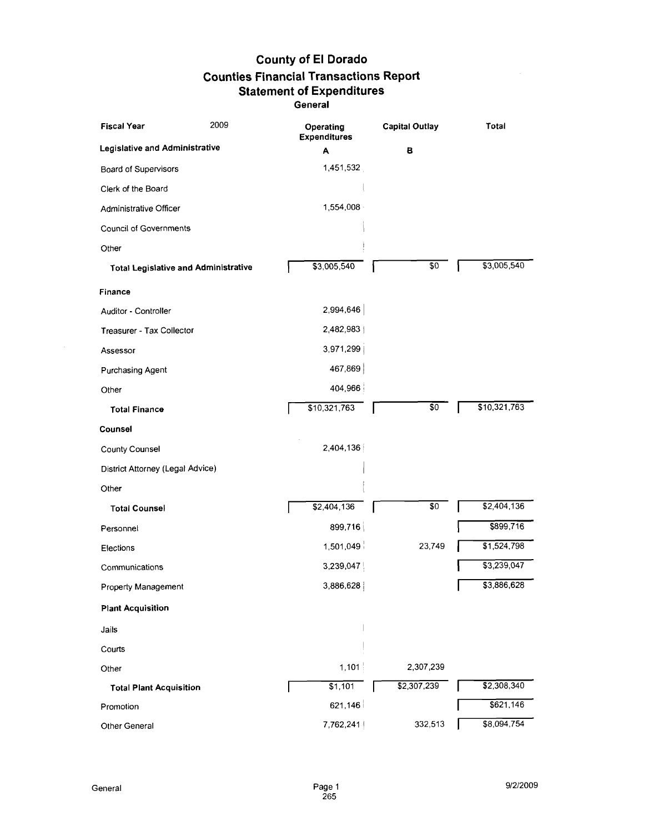| <b>Fiscal Year</b>               | 2009                                        | Operating<br><b>Expenditures</b> | <b>Capital Outlay</b> | Total                   |
|----------------------------------|---------------------------------------------|----------------------------------|-----------------------|-------------------------|
| Legislative and Administrative   |                                             | A                                | в                     |                         |
| Board of Supervisors             |                                             | 1,451,532                        |                       |                         |
| Clerk of the Board               |                                             |                                  |                       |                         |
| Administrative Officer           |                                             | 1,554,008                        |                       |                         |
| <b>Council of Governments</b>    |                                             |                                  |                       |                         |
| Other                            |                                             |                                  |                       |                         |
|                                  | <b>Total Legislative and Administrative</b> | \$3,005,540                      | \$0                   | $\overline{33,005,540}$ |
| Finance                          |                                             |                                  |                       |                         |
| Auditor - Controller             |                                             | 2,994,646                        |                       |                         |
| Treasurer - Tax Collector        |                                             | 2,482,983                        |                       |                         |
| Assessor                         |                                             | 3,971,299                        |                       |                         |
| Purchasing Agent                 |                                             | 467,869                          |                       |                         |
| Other                            |                                             | 404,966                          |                       |                         |
| <b>Total Finance</b>             |                                             | \$10,321,763                     | \$0                   | \$10,321,763            |
| Counsel                          |                                             |                                  |                       |                         |
| <b>County Counsel</b>            |                                             | 2,404,136                        |                       |                         |
| District Attorney (Legal Advice) |                                             |                                  |                       |                         |
| Other                            |                                             |                                  |                       |                         |
| <b>Total Counsel</b>             |                                             | \$2,404,136                      | \$0                   | \$2,404,136             |
| Personnel                        |                                             | 899,716                          |                       | \$899,716               |
| Elections                        |                                             | 1,501,049                        | 23,749                | $\overline{1,524,798}$  |
| Communications                   |                                             | 3,239,047                        |                       | \$3,239,047             |
| Property Management              |                                             | 3,886,628                        |                       | \$3,886,628             |
| <b>Plant Acquisition</b>         |                                             |                                  |                       |                         |
| Jails                            |                                             |                                  |                       |                         |
| Courts                           |                                             |                                  |                       |                         |
| Other                            |                                             | 1,101                            | 2,307,239             |                         |
| <b>Total Plant Acquisition</b>   |                                             | \$1,101                          | \$2,307,239           | \$2,308,340             |
| Promotion                        |                                             | 621,146                          |                       | \$621,146               |
| Other General                    |                                             | 7,762,241                        | 332,513               | \$8,094,754             |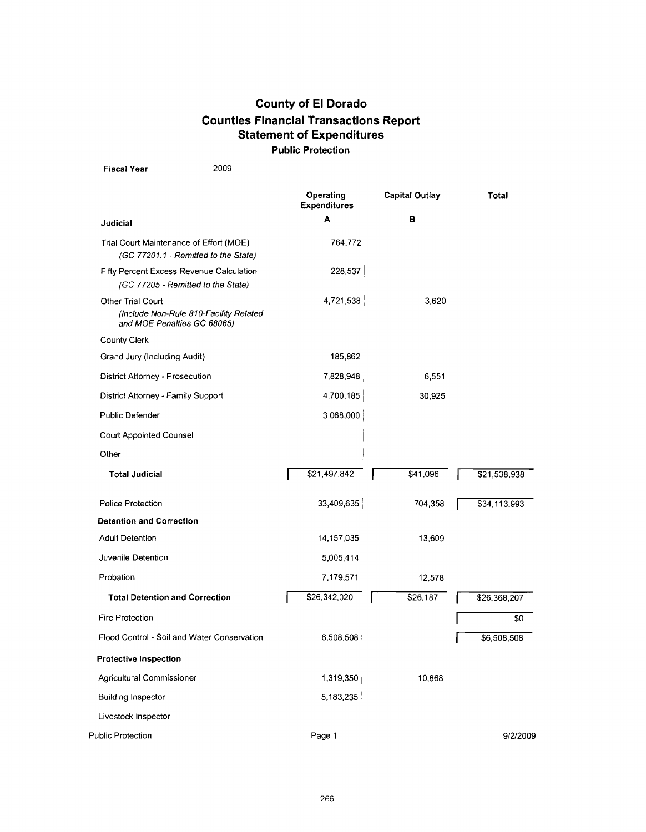Fiscal Year 2009

|                                                                                            | Operating<br><b>Expenditures</b> | <b>Capital Outlay</b> | Total        |
|--------------------------------------------------------------------------------------------|----------------------------------|-----------------------|--------------|
| Judicial                                                                                   | A                                | в                     |              |
| Trial Court Maintenance of Effort (MOE)<br>(GC 77201.1 - Remitted to the State)            | 764,772                          |                       |              |
| Fifty Percent Excess Revenue Calculation<br>(GC 77205 - Remitted to the State)             | 228,537                          |                       |              |
| Other Trial Court<br>(Include Non-Rule 810-Facility Related<br>and MOE Penalties GC 68065) | 4,721,538                        | 3,620                 |              |
| <b>County Clerk</b>                                                                        |                                  |                       |              |
| Grand Jury (Including Audit)                                                               | 185,862                          |                       |              |
| District Attorney - Prosecution                                                            | 7,828,948                        | 6,551                 |              |
| District Attorney - Family Support                                                         | 4,700,185                        | 30,925                |              |
| <b>Public Defender</b>                                                                     | 3,068,000                        |                       |              |
| Court Appointed Counsel                                                                    |                                  |                       |              |
| Other                                                                                      |                                  |                       |              |
| <b>Total Judicial</b>                                                                      | \$21,497,842                     | \$41,096              | \$21,538,938 |
| <b>Police Protection</b>                                                                   | 33,409,635                       | 704,358               | \$34,113,993 |
| <b>Detention and Correction</b>                                                            |                                  |                       |              |
| <b>Adult Detention</b>                                                                     | 14,157,035                       | 13,609                |              |
| Juvenile Detention                                                                         | 5,005,414                        |                       |              |
| Probation                                                                                  | 7,179,571                        | 12,578                |              |
| <b>Total Detention and Correction</b>                                                      | \$26,342,020                     | \$26,187              | \$26,368,207 |
| <b>Fire Protection</b>                                                                     |                                  |                       | \$0          |
| Flood Control - Soil and Water Conservation                                                | 6,508,508                        |                       | \$6,508,508  |
| <b>Protective Inspection</b>                                                               |                                  |                       |              |
| Agricultural Commissioner                                                                  | 1,319,350                        | 10,868                |              |
| <b>Building Inspector</b>                                                                  | 5,183,235                        |                       |              |
| Livestock Inspector                                                                        |                                  |                       |              |
| Public Protection                                                                          | Page 1                           |                       | 9/2/2009     |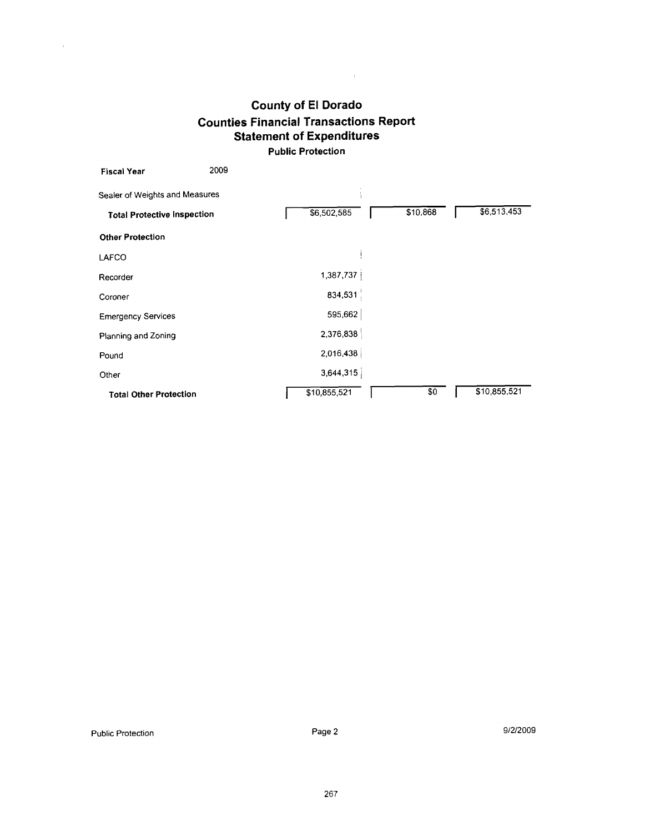$\mathcal{L}^{\text{max}}_{\text{max}}$ 

| <b>Fiscal Year</b>                 | 2009 |              |          |     |              |
|------------------------------------|------|--------------|----------|-----|--------------|
| Sealer of Weights and Measures     |      |              |          |     |              |
| <b>Total Protective Inspection</b> |      | 56,502,585   | \$10,868 |     | \$6,513,453  |
| <b>Other Protection</b>            |      |              |          |     |              |
| LAFCO                              |      |              |          |     |              |
| Recorder                           |      | 1,387,737    |          |     |              |
| Coroner                            |      | 834,531      |          |     |              |
| <b>Emergency Services</b>          |      | 595,662      |          |     |              |
| Planning and Zoning                |      | 2,376,838    |          |     |              |
| Pound                              |      | 2,016,438    |          |     |              |
| Other                              |      | 3,644,315    |          |     |              |
| <b>Total Other Protection</b>      |      | \$10,855,521 |          | \$0 | \$10,855,521 |

 $\mathcal{L}^{\mathcal{L}}$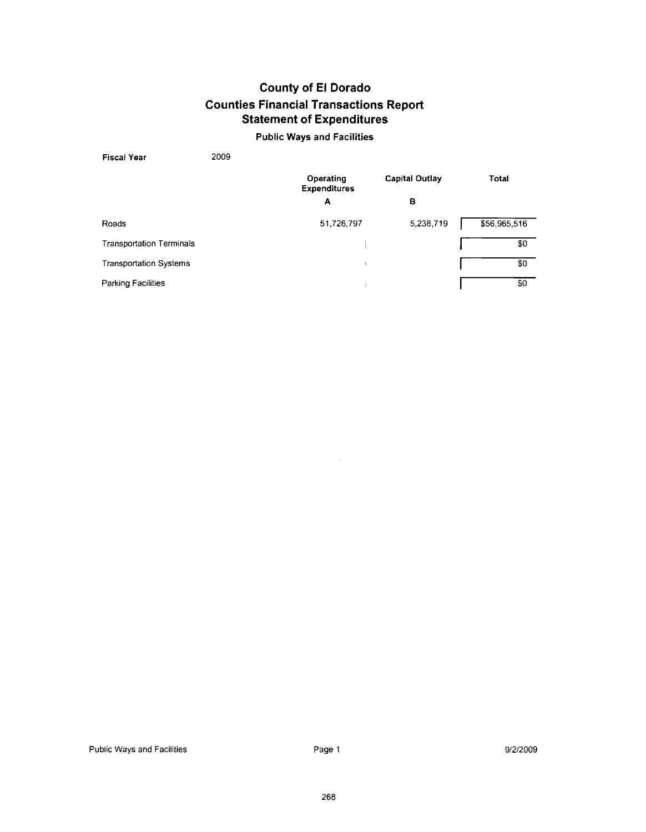#### **Public Ways and Facilities**

| <b>Fiscal Year</b>              | 2009 |                                  |                |              |
|---------------------------------|------|----------------------------------|----------------|--------------|
|                                 |      | Operating<br><b>Expenditures</b> | Capital Outlay | <b>Total</b> |
|                                 |      | A                                | в              |              |
| Roads                           |      | 51,726,797                       | 5,238,719      | \$56,965,516 |
| <b>Transportation Terminals</b> |      |                                  |                | \$0          |
| <b>Transportation Systems</b>   |      |                                  |                | \$0          |
| Parking Facilities              |      |                                  |                | \$0          |

Page I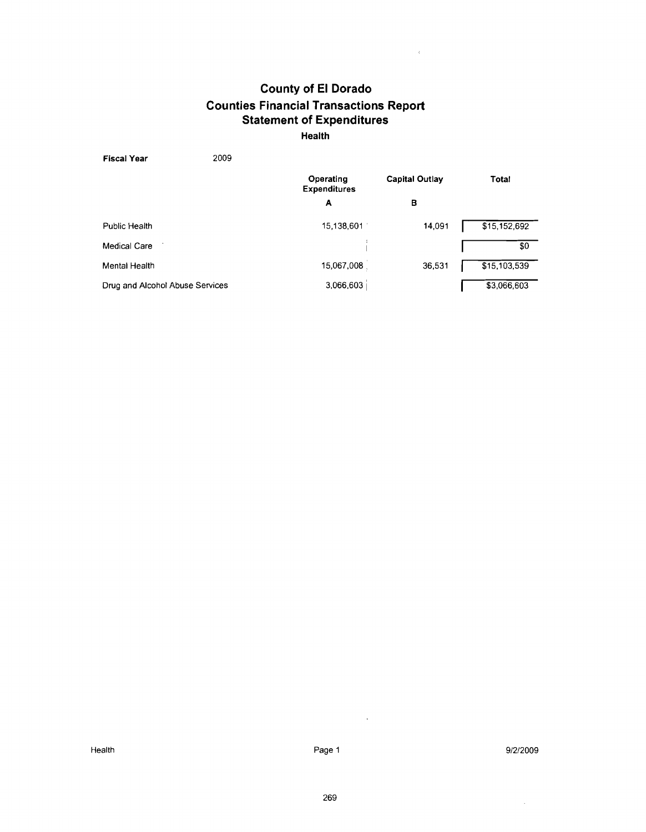$\bar{\psi}$ 

**Health** 

| 2009<br><b>Fiscal Year</b>      |                                  |                |              |
|---------------------------------|----------------------------------|----------------|--------------|
|                                 | Operating<br><b>Expenditures</b> | Capital Outlay | <b>Total</b> |
|                                 | A                                | в              |              |
| Public Health                   | 15,138,601                       | 14,091         | \$15,152,692 |
| Medical Care                    |                                  |                | \$0          |
| Mental Health                   | 15,067,008                       | 36,531         | \$15,103,539 |
| Drug and Alcohol Abuse Services | 3,066,603                        |                | \$3,066,603  |

 $\sim$   $\sim$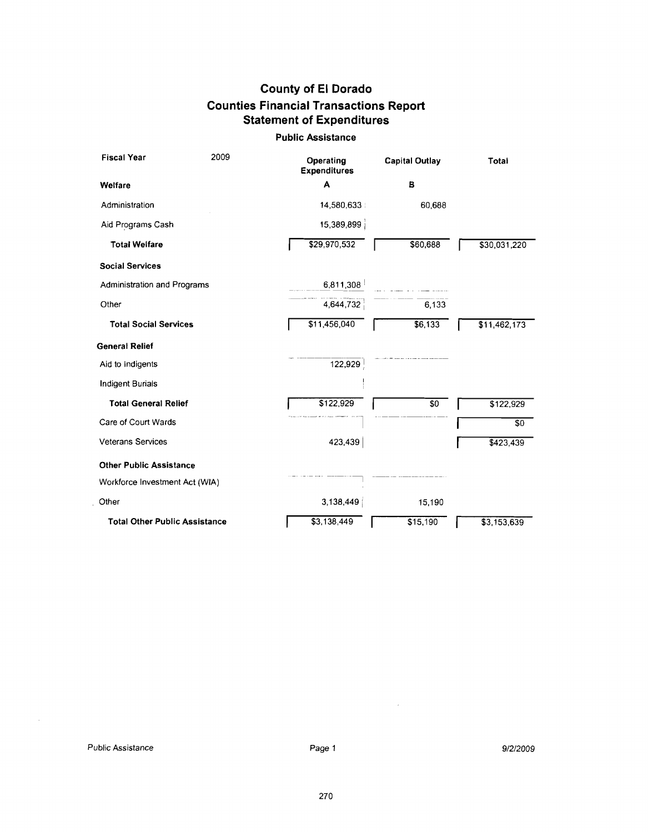#### **Public Assistance**

| <b>Fiscal Year</b>                   | 2009 | Operating<br><b>Expenditures</b> | <b>Capital Outlay</b> | Total           |
|--------------------------------------|------|----------------------------------|-----------------------|-----------------|
| Welfare                              |      | A                                | в                     |                 |
| Administration                       |      | 14,580,633                       | 60,688                |                 |
| Aid Programs Cash                    |      | 15,389,899                       |                       |                 |
| <b>Total Welfare</b>                 |      | \$29,970,532                     | \$60,688              | \$30,031,220    |
| <b>Social Services</b>               |      |                                  |                       |                 |
| Administration and Programs          |      | 6,811,308                        |                       |                 |
| Other                                |      | 4,644,732                        | 6,133                 |                 |
| <b>Total Social Services</b>         |      | \$11,456,040                     | \$6,133               | \$11,462,173    |
| <b>General Relief</b>                |      |                                  |                       |                 |
| Aid to Indigents                     |      | 122,929                          |                       |                 |
| <b>Indigent Burials</b>              |      |                                  |                       |                 |
| <b>Total General Relief</b>          |      | \$122,929                        | \$0                   | \$122,929       |
| Care of Court Wards                  |      |                                  |                       | $\overline{50}$ |
| <b>Veterans Services</b>             |      | 423,439                          |                       | \$423,439       |
| <b>Other Public Assistance</b>       |      |                                  |                       |                 |
| Workforce Investment Act (WIA)       |      |                                  |                       |                 |
| Other                                |      | 3,138,449                        | 15,190                |                 |
| <b>Total Other Public Assistance</b> |      | \$3,138,449                      | \$15,190              | \$3,153,639     |

 $\mathcal{A}^{\prime}$ 

 $\mathcal{L}_{\text{max}}$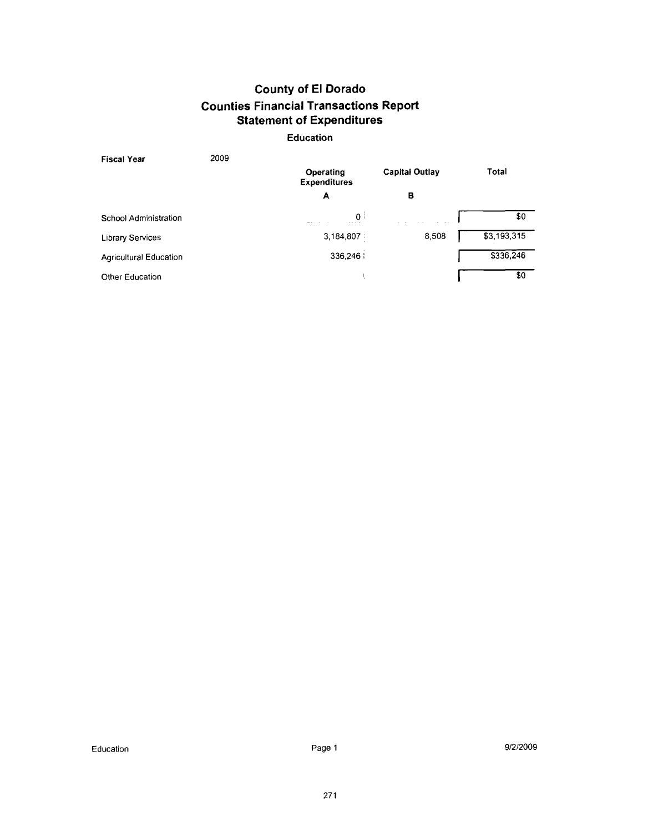#### **Education**

| Fiscal Year            | 2009 |                                  |                       |             |
|------------------------|------|----------------------------------|-----------------------|-------------|
|                        |      | Operating<br><b>Expenditures</b> | <b>Capital Outlay</b> | Total       |
|                        |      | A                                | в                     |             |
| School Administration  |      | $\overline{0}$                   |                       | \$0         |
| Library Services       |      | 3,184,807                        | 8,508                 | \$3,193,315 |
| Agricultural Education |      | 336,246                          |                       | \$336,246   |
| Other Education        |      |                                  |                       | \$0         |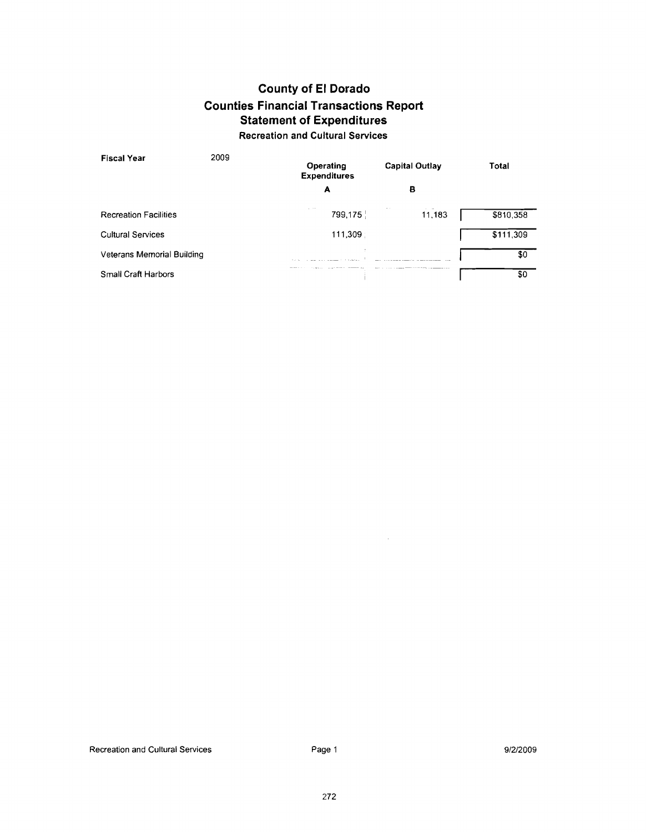### **Recreation and Cultural Services**

| <b>Fiscal Year</b>           | 2009 | Operating<br><b>Expenditures</b> | <b>Capital Outlay</b> | Total     |
|------------------------------|------|----------------------------------|-----------------------|-----------|
|                              |      | A                                | в                     |           |
| <b>Recreation Facilities</b> |      | $\sim$<br>799,175                | 11,183                | \$810,358 |
| Cultural Services            |      | 111,309                          |                       | \$111,309 |
| Veterans Memorial Building   |      |                                  |                       | \$0       |
| Small Craft Harbors          |      |                                  |                       | \$0       |

Page 1

 $\hat{\mathcal{A}}$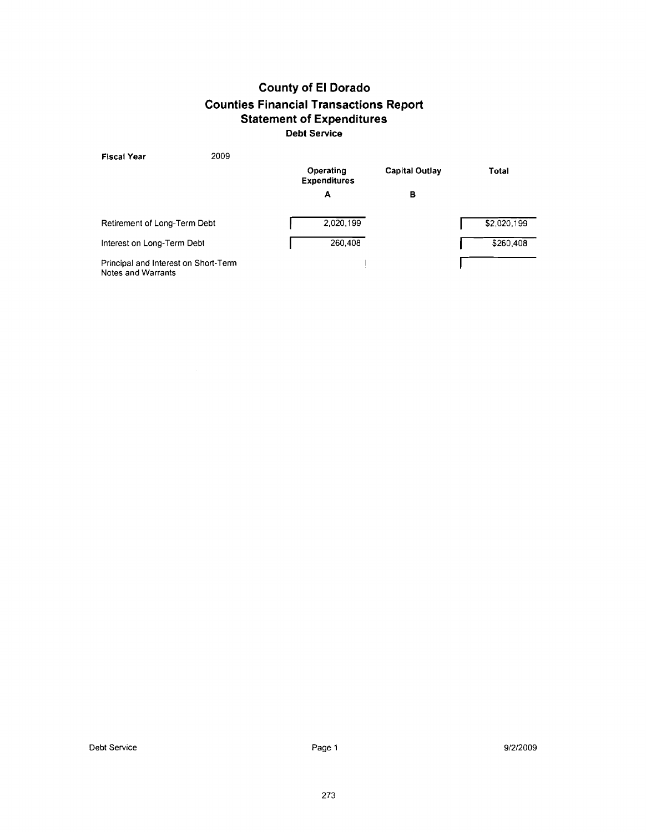| 2009<br><b>Fiscal Year</b>                                 |                                  |                       |             |
|------------------------------------------------------------|----------------------------------|-----------------------|-------------|
|                                                            | Operating<br><b>Expenditures</b> | <b>Capital Outlay</b> | Total       |
|                                                            | Α                                | в                     |             |
| Retirement of Long-Term Debt                               | 2.020.199                        |                       | \$2,020,199 |
| Interest on Long-Term Debt                                 | 260,408                          |                       | \$260,408   |
| Principal and Interest on Short-Term<br>Notes and Warrants |                                  |                       |             |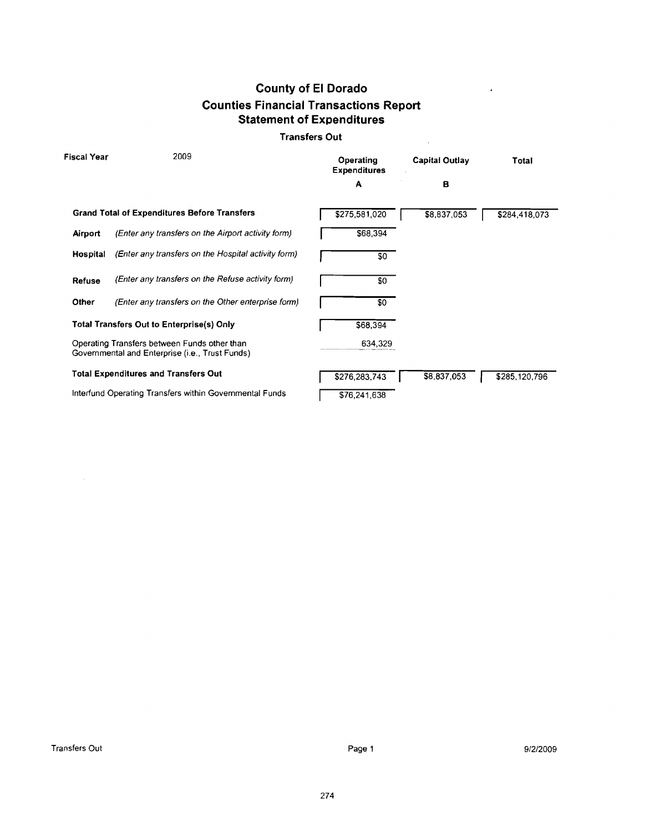#### Transfers **Out**

| <b>Fiscal Year</b> | 2009                                                                                            | Operating<br><b>Expenditures</b> | Capital Outlay | Total         |
|--------------------|-------------------------------------------------------------------------------------------------|----------------------------------|----------------|---------------|
|                    |                                                                                                 | A                                | B              |               |
|                    | <b>Grand Total of Expenditures Before Transfers</b>                                             | \$275,581,020                    | \$8,837,053    | \$284,418,073 |
| Airport            | (Enter any transfers on the Airport activity form)                                              | \$68,394                         |                |               |
| Hospital           | (Enter any transfers on the Hospital activity form)                                             | \$0                              |                |               |
| Refuse             | (Enter any transfers on the Refuse activity form)                                               | \$0                              |                |               |
| Other              | (Enter any transfers on the Other enterprise form)                                              | \$0                              |                |               |
|                    | Total Transfers Out to Enterprise(s) Only                                                       | \$68,394                         |                |               |
|                    | Operating Transfers between Funds other than<br>Governmental and Enterprise (i.e., Trust Funds) | 634,329                          |                |               |
|                    | <b>Total Expenditures and Transfers Out</b>                                                     | \$276,283,743                    | \$8,837,053    | \$285,120,796 |
|                    | Interfund Operating Transfers within Governmental Funds                                         | \$76,241,638                     |                |               |

 $\bar{z}$ 

 $\sim 10$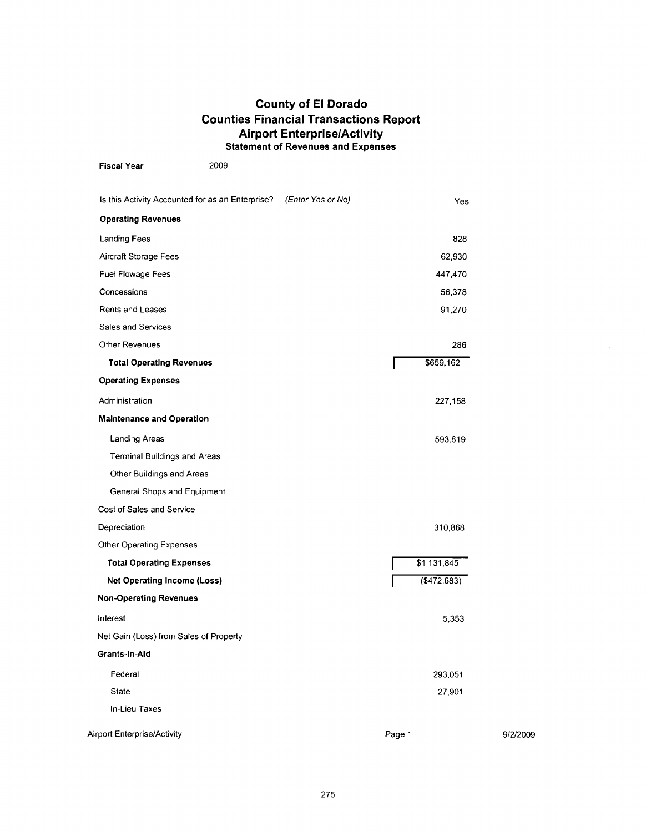#### **County of El Dorado Counties Financial Transactions Report Airport EnterpriselActivity Statement of Revenues and Expenses**

| <b>Fiscal Year</b>                     | 2009                                             |                   |        |                |          |
|----------------------------------------|--------------------------------------------------|-------------------|--------|----------------|----------|
|                                        | Is this Activity Accounted for as an Enterprise? | (Enter Yes or No) |        | Yes            |          |
| <b>Operating Revenues</b>              |                                                  |                   |        |                |          |
| <b>Landing Fees</b>                    |                                                  |                   |        | 828            |          |
| Aircraft Storage Fees                  |                                                  |                   |        | 62,930         |          |
| Fuel Flowage Fees                      |                                                  |                   |        | 447,470        |          |
| Concessions                            |                                                  |                   |        | 56,378         |          |
| Rents and Leases                       |                                                  |                   |        | 91,270         |          |
| Sales and Services                     |                                                  |                   |        |                |          |
| Other Revenues                         |                                                  |                   |        | 286            |          |
| <b>Total Operating Revenues</b>        |                                                  |                   |        | \$659,162      |          |
| <b>Operating Expenses</b>              |                                                  |                   |        |                |          |
| Administration                         |                                                  |                   |        | 227,158        |          |
| <b>Maintenance and Operation</b>       |                                                  |                   |        |                |          |
| Landing Areas                          |                                                  |                   |        | 593,819        |          |
| <b>Terminal Buildings and Areas</b>    |                                                  |                   |        |                |          |
| Other Buildings and Areas              |                                                  |                   |        |                |          |
| General Shops and Equipment            |                                                  |                   |        |                |          |
| Cost of Sales and Service              |                                                  |                   |        |                |          |
| Depreciation                           |                                                  |                   |        | 310,868        |          |
| Other Operating Expenses               |                                                  |                   |        |                |          |
| <b>Total Operating Expenses</b>        |                                                  |                   |        | \$1,131,845    |          |
| <b>Net Operating Income (Loss)</b>     |                                                  |                   |        | $($ \$472,683) |          |
| <b>Non-Operating Revenues</b>          |                                                  |                   |        |                |          |
| Interest                               |                                                  |                   |        | 5,353          |          |
| Net Gain (Loss) from Sales of Property |                                                  |                   |        |                |          |
| Grants-In-Aid                          |                                                  |                   |        |                |          |
| Federal                                |                                                  |                   |        | 293,051        |          |
| State                                  |                                                  |                   |        | 27,901         |          |
| In-Lieu Taxes                          |                                                  |                   |        |                |          |
| <b>Airport Enterprise/Activity</b>     |                                                  |                   | Page 1 |                | 9/2/2009 |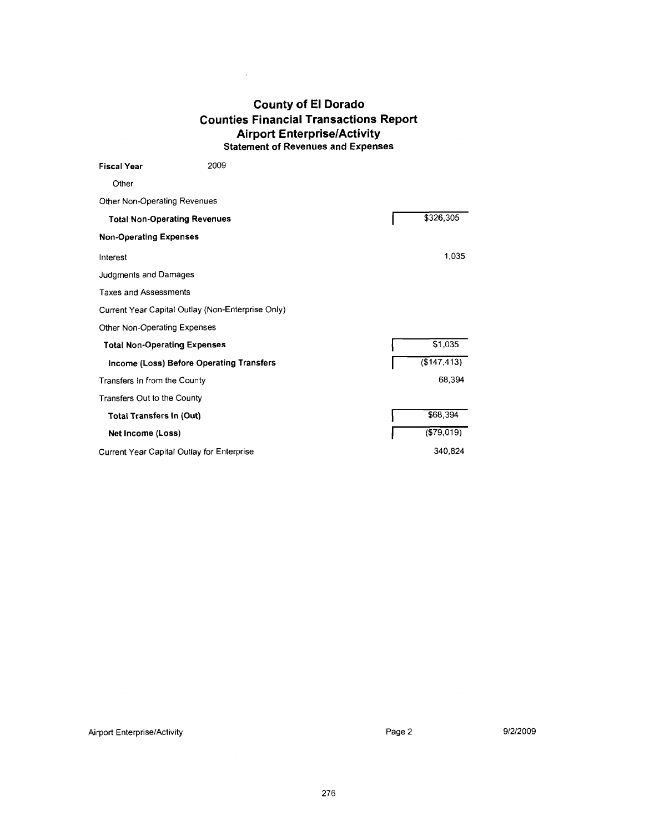#### **County of El Dorado Counties Financial Transactions Report Airport EnterpriselActivity Statement of Revenues and Expenses**

 $\sim 10^{-1}$ 

| <b>Fiscal Year</b>                  | 2009                                              |              |
|-------------------------------------|---------------------------------------------------|--------------|
| Other                               |                                                   |              |
| Other Non-Operating Revenues        |                                                   |              |
| <b>Total Non-Operating Revenues</b> |                                                   | \$326,305    |
| <b>Non-Operating Expenses</b>       |                                                   |              |
| Interest                            |                                                   | 1,035        |
| Judgments and Damages               |                                                   |              |
| <b>Taxes and Assessments</b>        |                                                   |              |
|                                     | Current Year Capital Outlay (Non-Enterprise Only) |              |
| Other Non-Operating Expenses        |                                                   |              |
| <b>Total Non-Operating Expenses</b> |                                                   | \$1,035      |
|                                     | Income (Loss) Before Operating Transfers          | (\$147, 413) |
| Transfers In from the County        |                                                   | 68,394       |
| Transfers Out to the County         |                                                   |              |
| <b>Total Transfers In (Out)</b>     |                                                   | \$68,394     |
| Net Income (Loss)                   |                                                   | ( \$79,019)  |
|                                     | Current Year Capital Outlay for Enterprise        | 340,824      |

9/2/2009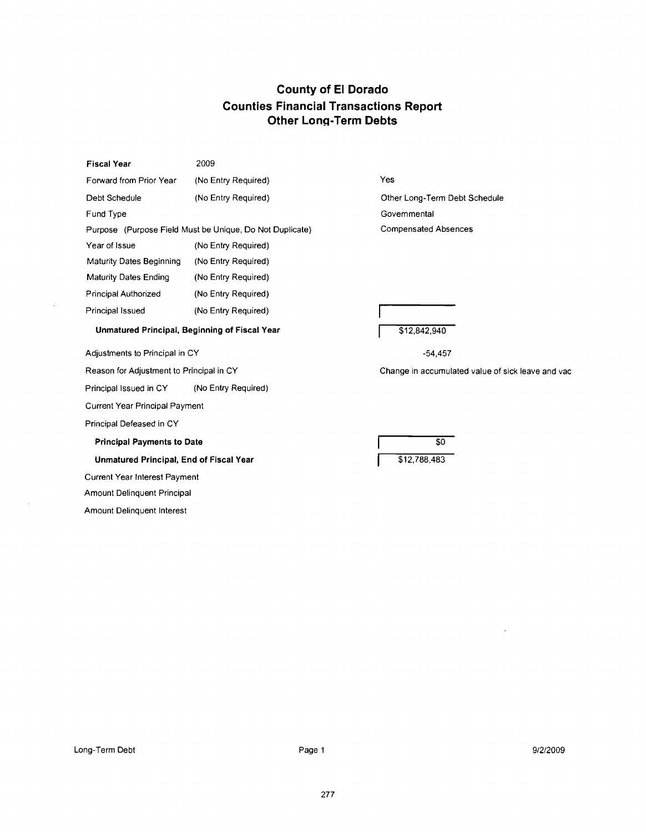| <b>Fiscal Year</b> | 2009 |
|--------------------|------|
|                    |      |

Forward from Prior Year (No Entry Required)

Debt Schedule (No Entry Required)

Fund Type Purpose (Purpose Field Must be Unique, Do Not Duplicate) Year of Issue (No Entry Required) Maturity Dates Beginning (No Entry Required) Maturity Dates Ending (No Entry Required) Principal Authorized (No Entry Required) Principal Issued (No Entry Required)

Yes

Other Long-Term Debt Schedule Governmental Compensated Absences **Ions Report**<br>
Ves<br>
Ves<br>
Other Long-Term Debt Schedule<br>
Governmental<br>
Compensated Absences<br>
1994<br>
1994<br>
1994<br>
1994<br>
1994<br>
1994<br>
1994<br>
1994<br>
1994<br>
1994<br>
1994<br>
1994<br>
1994<br>
1994<br>
1994<br>
1994<br>
1994<br>
1994<br>
1994<br>
1994<br>
1994<br>
1994

\$12,842,940

Adjustments to Principal in CY

Reason for Adjustment to Principal in CY

Principal Issued in CY (No Entry Required)

**Unmatured Principal, Beginning of Fiscal Year** 

Current Year Principal Payment

Principal Defeased in CY

**Principal Payments to Date** 

**Unmatured Principal, End of Fiscal Year** 

Current Year lnterest Payment

Amount Delinquent Principal

Amount Delinquent lnterest

-54,457

Change in accumulated value of sick leave and vac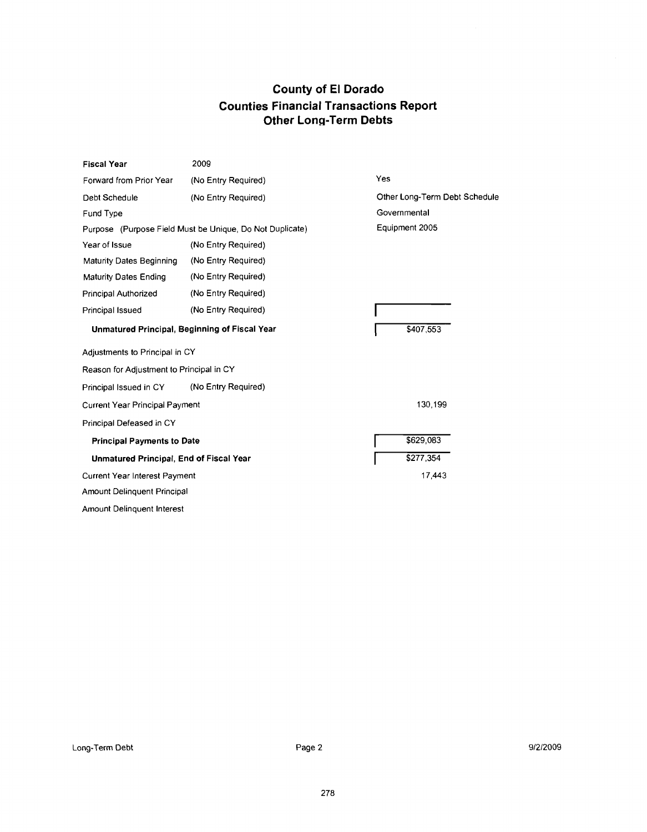| <b>Fiscal Year</b>                                       | 2009                |                               |
|----------------------------------------------------------|---------------------|-------------------------------|
| Forward from Prior Year                                  | (No Entry Required) | Yes                           |
| Debt Schedule                                            | (No Entry Required) | Other Long-Term Debt Schedule |
| Fund Type                                                |                     | Governmental                  |
| Purpose (Purpose Field Must be Unique, Do Not Duplicate) |                     | Equipment 2005                |
| Year of Issue                                            | (No Entry Required) |                               |
| Maturity Dates Beginning                                 | (No Entry Required) |                               |
| <b>Maturity Dates Ending</b>                             | (No Entry Required) |                               |
| Principal Authorized                                     | (No Entry Required) |                               |
| Principal Issued                                         | (No Entry Required) |                               |
| Unmatured Principal, Beginning of Fiscal Year            |                     | \$407,553                     |
| Adjustments to Principal in CY                           |                     |                               |
| Reason for Adjustment to Principal in CY                 |                     |                               |
| Principal Issued in CY                                   | (No Entry Required) |                               |
| Current Year Principal Payment                           |                     | 130,199                       |
| Principal Defeased in CY                                 |                     |                               |
| <b>Principal Payments to Date</b>                        |                     | \$629,083                     |
| Unmatured Principal, End of Fiscal Year                  |                     | \$277,354                     |
| Current Year Interest Payment                            |                     | 17,443                        |
| Amount Delinquent Principal                              |                     |                               |
| Amount Delinquent Interest                               |                     |                               |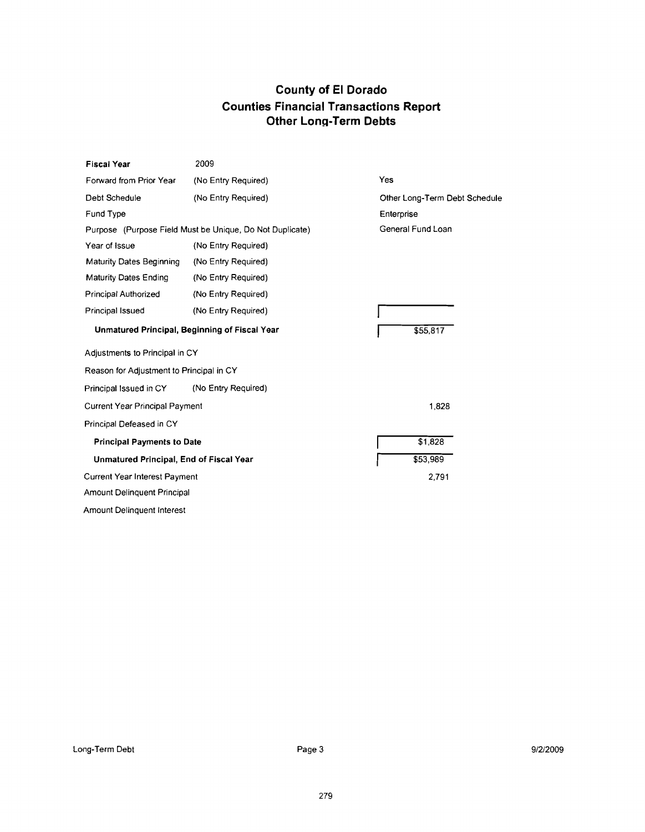| <b>Fiscal Year</b>                                       | 2009                |                               |
|----------------------------------------------------------|---------------------|-------------------------------|
| Forward from Prior Year                                  | (No Entry Required) | Yes                           |
| Debt Schedule                                            | (No Entry Required) | Other Long-Term Debt Schedule |
| Fund Type                                                |                     | Enterprise                    |
| Purpose (Purpose Field Must be Unique, Do Not Duplicate) |                     | General Fund Loan             |
| Year of Issue                                            | (No Entry Required) |                               |
| Maturity Dates Beginning                                 | (No Entry Required) |                               |
| <b>Maturity Dates Ending</b>                             | (No Entry Required) |                               |
| <b>Principal Authorized</b>                              | (No Entry Required) |                               |
| <b>Principal Issued</b>                                  | (No Entry Required) |                               |
| Unmatured Principal, Beginning of Fiscal Year            |                     | \$55,817                      |
| Adjustments to Principal in CY                           |                     |                               |
| Reason for Adjustment to Principal in CY                 |                     |                               |
| Principal Issued in CY                                   | (No Entry Required) |                               |
| <b>Current Year Principal Payment</b>                    |                     | 1,828                         |
| Principal Defeased in CY                                 |                     |                               |
| <b>Principal Payments to Date</b>                        |                     | \$1,828                       |
| Unmatured Principal, End of Fiscal Year                  |                     | \$53,989                      |
| <b>Current Year Interest Payment</b>                     |                     | 2,791                         |
| Amount Delinquent Principal                              |                     |                               |
| Amount Delinguent Interest                               |                     |                               |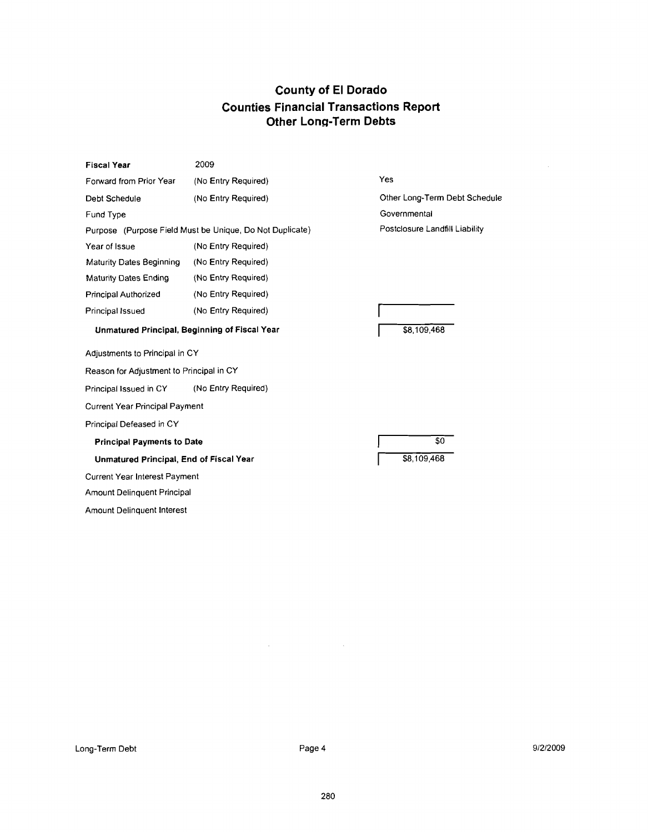| <b>Fiscal Year</b>                                       | 2009                |                                |  |
|----------------------------------------------------------|---------------------|--------------------------------|--|
| Forward from Prior Year                                  | (No Entry Required) | Yes                            |  |
| Debt Schedule                                            | (No Entry Required) | Other Long-Term Debt Schedule  |  |
| Fund Type                                                |                     | Governmental                   |  |
| Purpose (Purpose Field Must be Unique, Do Not Duplicate) |                     | Postclosure Landfill Liability |  |
| Year of Issue                                            | (No Entry Required) |                                |  |
| Maturity Dates Beginning                                 | (No Entry Required) |                                |  |
| <b>Maturity Dates Ending</b>                             | (No Entry Required) |                                |  |
| Principal Authorized                                     | (No Entry Required) |                                |  |
| Principal Issued                                         | (No Entry Required) |                                |  |
| Unmatured Principal, Beginning of Fiscal Year            |                     | \$8,109,468                    |  |
| Adjustments to Principal in CY                           |                     |                                |  |
| Reason for Adjustment to Principal in CY                 |                     |                                |  |
| Principal Issued in CY                                   | (No Entry Required) |                                |  |
| <b>Current Year Principal Payment</b>                    |                     |                                |  |
| Principal Defeased in CY                                 |                     |                                |  |
| <b>Principal Payments to Date</b>                        |                     | \$0                            |  |
| Unmatured Principal, End of Fiscal Year                  |                     | \$8,109,468                    |  |
| Current Year Interest Payment                            |                     |                                |  |
| Amount Delinquent Principal                              |                     |                                |  |
| Amount Delinguent Interest                               |                     |                                |  |

 $\mathcal{A}^{\mathcal{A}}_{\mathcal{A}}$  and  $\mathcal{A}^{\mathcal{A}}_{\mathcal{A}}$  and  $\mathcal{A}^{\mathcal{A}}_{\mathcal{A}}$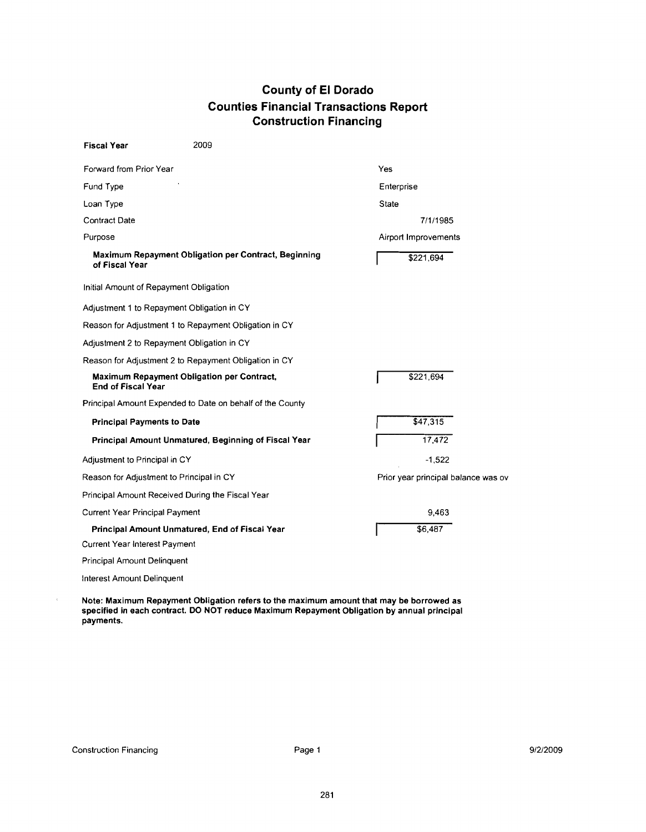### **County of El Dorado Counties Financial Transactions Report Construction Financing**

| <b>Fiscal Year</b>                | 2009                                                      |                                     |
|-----------------------------------|-----------------------------------------------------------|-------------------------------------|
| Forward from Prior Year           |                                                           | Yes                                 |
| Fund Type                         |                                                           | Enterprise                          |
| Loan Type                         |                                                           | <b>State</b>                        |
| Contract Date                     |                                                           | 7/1/1985                            |
| Purpose                           |                                                           | Airport Improvements                |
| of Fiscal Year                    | Maximum Repayment Obligation per Contract, Beginning      | \$221,694                           |
|                                   | Initial Amount of Repayment Obligation                    |                                     |
|                                   | Adjustment 1 to Repayment Obligation in CY                |                                     |
|                                   | Reason for Adjustment 1 to Repayment Obligation in CY     |                                     |
|                                   | Adjustment 2 to Repayment Obligation in CY                |                                     |
|                                   | Reason for Adjustment 2 to Repayment Obligation in CY     |                                     |
| <b>End of Fiscal Year</b>         | <b>Maximum Repayment Obligation per Contract,</b>         | \$221,694                           |
|                                   | Principal Amount Expended to Date on behalf of the County |                                     |
| <b>Principal Payments to Date</b> |                                                           | \$47,315                            |
|                                   | Principal Amount Unmatured, Beginning of Fiscal Year      | 17,472                              |
| Adjustment to Principal in CY     |                                                           | $-1,522$                            |
|                                   | Reason for Adjustment to Principal in CY                  | Prior year principal balance was ov |
|                                   | Principal Amount Received During the Fiscal Year          |                                     |
| Current Year Principal Payment    |                                                           | 9,463                               |
|                                   | Principal Amount Unmatured, End of Fiscal Year            | \$6,487                             |
| Current Year Interest Payment     |                                                           |                                     |
| Principal Amount Delinquent       |                                                           |                                     |
| Interest Amount Delinguent        |                                                           |                                     |

Note: Maximum Repayment Obligation refers to the maximum amount that may be borrowed as specified in each contract. DO NOT reduce Maximum Repayment Obligation by annual principal payments.

 $\bar{t}$